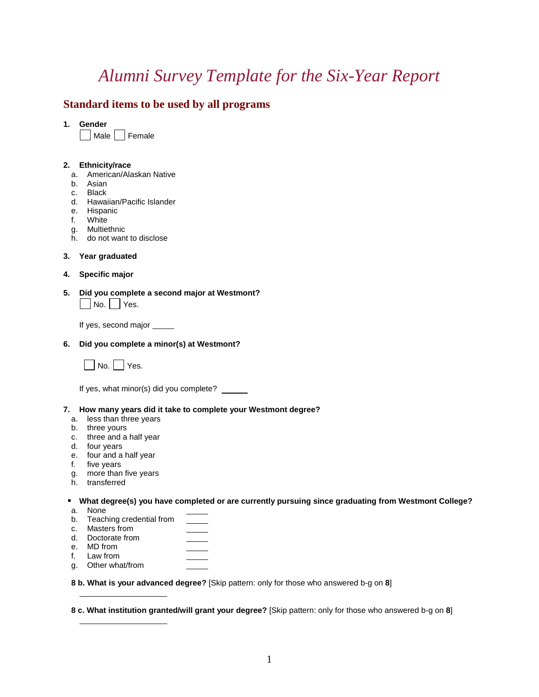# *Alumni Survey Template for the Six-Year Report*

### **Standard items to be used by all programs**

**1. Gender**

Male Female

#### **2. Ethnicity/race**

- a. American/Alaskan Native
- b. Asian
- c. Black
- d. Hawaiian/Pacific Islander
- e. Hispanic
- f. White
- g. Multiethnic
- h. do not want to disclose

#### **3. Year graduated**

- **4. Specific major**
- **5. Did you complete a second major at Westmont?**  $\vert$  No.  $\vert$  Yes.

If yes, second major

#### **6. Did you complete a minor(s) at Westmont?**



If yes, what minor(s) did you complete?

#### **7. How many years did it take to complete your Westmont degree?**

- a. less than three years
- b. three yours
- c. three and a half year
- d. four years
- e. four and a half year
- f. five years
- g. more than five years
- h. transferred

#### **What degree(s) you have completed or are currently pursuing since graduating from Westmont College?**

- a. None
- b. Teaching credential from
- c. Masters from
- d. Doctorate from
- e. MD from
- f. Law from
- g. Other what/from

**8 b. What is your advanced degree?** [Skip pattern: only for those who answered b-g on **8**]

**8 c. What institution granted/will grant your degree?** [Skip pattern: only for those who answered b-g on **8**]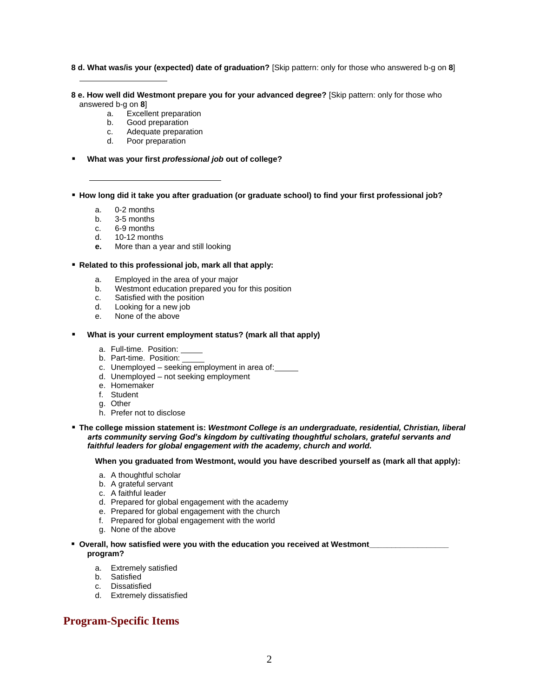**8 d. What was/is your (expected) date of graduation?** [Skip pattern: only for those who answered b-g on **8**]

**8 e. How well did Westmont prepare you for your advanced degree?** [Skip pattern: only for those who answered b-g on **8**]

- a. Excellent preparation<br>b. Good preparation
- Good preparation
- c. Adequate preparation
- d. Poor preparation
- **What was your first** *professional job* **out of college?**
- **How long did it take you after graduation (or graduate school) to find your first professional job?**
	- a. 0-2 months
	- b. 3-5 months
	- c. 6-9 months
	- d. 10-12 months
	- **e.** More than a year and still looking
- **Related to this professional job, mark all that apply:**
	- a. Employed in the area of your major
	- b. Westmont education prepared you for this position
	- c. Satisfied with the position
	- d. Looking for a new job
	- e. None of the above
- **What is your current employment status? (mark all that apply)**
	- a. Full-time. Position:
	- b. Part-time. Position:
	- c. Unemployed seeking employment in area of:
	- d. Unemployed not seeking employment
	- e. Homemaker
	- f. Student
	- g. Other
	- h. Prefer not to disclose
- **The college mission statement is:** *Westmont College is an undergraduate, residential, Christian, liberal arts community serving God's kingdom by cultivating thoughtful scholars, grateful servants and faithful leaders for global engagement with the academy, church and world.*

**When you graduated from Westmont, would you have described yourself as (mark all that apply):**

- a. A thoughtful scholar
- b. A grateful servant
- c. A faithful leader
- d. Prepared for global engagement with the academy
- e. Prepared for global engagement with the church
- f. Prepared for global engagement with the world
- g. None of the above
- **Overall, how satisfied were you with the education you received at Westmont program?**
	- a. Extremely satisfied
	- b. Satisfied
	- c. Dissatisfied
	- d. Extremely dissatisfied

## **Program-Specific Items**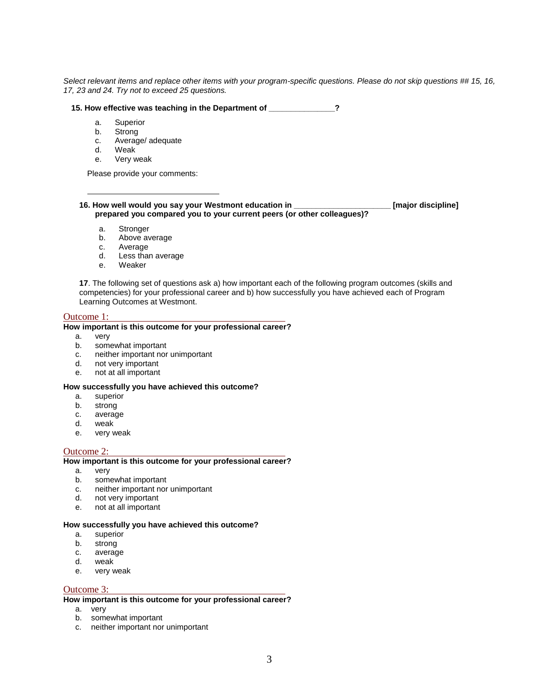*Select relevant items and replace other items with your program-specific questions. Please do not skip questions ## 15, 16, 17, 23 and 24. Try not to exceed 25 questions.*

#### **15. How effective was teaching in the Department of \_\_\_\_\_\_\_\_\_\_\_\_\_\_\_?**

- a. Superior
- b. Strong
- c. Average/ adequate<br>d. Weak
- Weak<sup>1</sup>
- e. Very weak

Please provide your comments:

#### **16. How well would you say your Westmont education in \_\_\_\_\_\_\_\_\_\_\_\_\_\_\_\_\_\_\_\_\_\_ [major discipline] prepared you compared you to your current peers (or other colleagues)?**

- a. Stronger
- b. Above average
- c. Average
- d. Less than average
- e. Weaker

**17**. The following set of questions ask a) how important each of the following program outcomes (skills and competencies) for your professional career and b) how successfully you have achieved each of Program Learning Outcomes at Westmont.

#### Outcome 1:

#### **How important is this outcome for your professional career?**

- a. very
- b. somewhat important
- c. neither important nor unimportant
- d. not very important
- e. not at all important

#### **How successfully you have achieved this outcome?**

- a. superior
- b. strong
- c. average
- d. weak
- e. very weak

#### Outcome 2:

#### **How important is this outcome for your professional career?**

- a. very
- b. somewhat important
- c. neither important nor unimportant
- d. not very important
- e. not at all important

#### **How successfully you have achieved this outcome?**

- a. superior
- b. strong
- c. average
- d. weak
- e. very weak

#### Outcome 3:

#### **How important is this outcome for your professional career?**

- a. very
- b. somewhat important
- c. neither important nor unimportant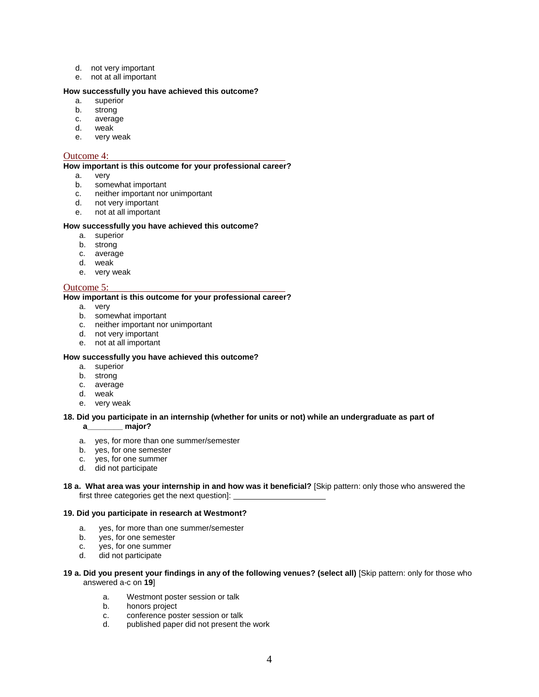- d. not very important
- e. not at all important

#### **How successfully you have achieved this outcome?**

- a. superior
- b. strong
- c. average
- d. weak
- e. very weak

#### Outcome 4:

#### **How important is this outcome for your professional career?**

- a. very
- b. somewhat important
- c. neither important nor unimportant
- d. not very important
- e. not at all important

#### **How successfully you have achieved this outcome?**

- a. superior
- b. strong
- c. average
- d. weak
- e. very weak

#### Outcome 5:

#### **How important is this outcome for your professional career?**

- a. very
- b. somewhat important
- c. neither important nor unimportant
- d. not very important
- e. not at all important

#### **How successfully you have achieved this outcome?**

- a. superior
- b. strong
- c. average
- d. weak
- e. very weak

#### **18. Did you participate in an internship (whether for units or not) while an undergraduate as part of**

**a\_\_\_\_\_\_\_\_ major?** 

- a. yes, for more than one summer/semester
- b. yes, for one semester
- c. yes, for one summer
- d. did not participate

#### **18 a. What area was your internship in and how was it beneficial?** [Skip pattern: only those who answered the first three categories get the next question]:

#### **19. Did you participate in research at Westmont?**

- a. yes, for more than one summer/semester
- b. yes, for one semester
- c. yes, for one summer
- d. did not participate
- **19 a. Did you present your findings in any of the following venues? (select all)** [Skip pattern: only for those who answered a-c on **19**]
	- a. Westmont poster session or talk
	- b. honors project
	- c. conference poster session or talk
	- d. published paper did not present the work